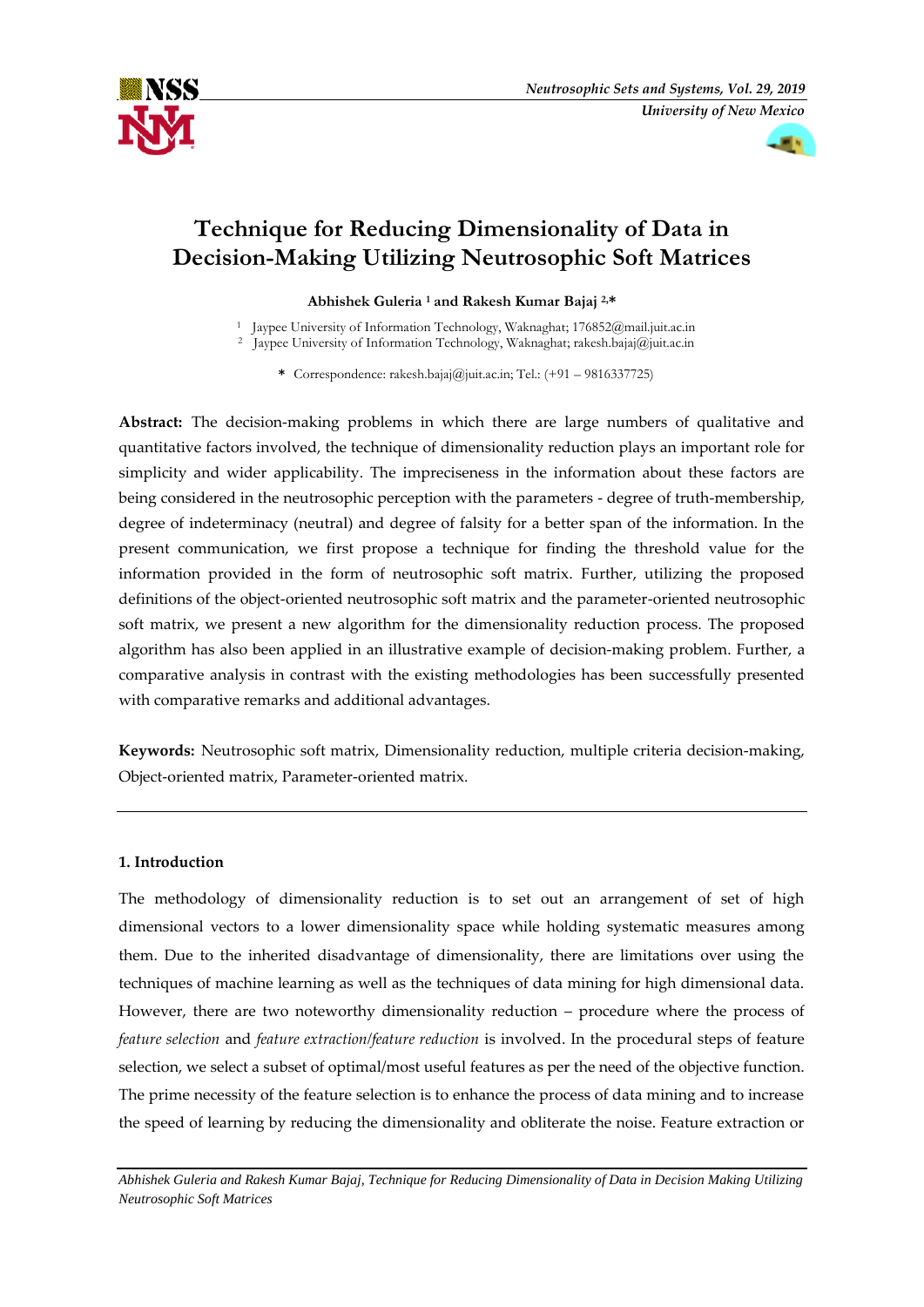



# **Technique for Reducing Dimensionality of Data in Decision-Making Utilizing Neutrosophic Soft Matrices**

**Abhishek Guleria <sup>1</sup> and Rakesh Kumar Bajaj 2,\***

<sup>1</sup> Jaypee University of Information Technology, Waknaghat; 176852@mail.juit.ac.in

<sup>2</sup> Jaypee University of Information Technology, Waknaghat; rakesh.bajaj@juit.ac.in

**\*** Correspondence: rakesh.bajaj@juit.ac.in; Tel.: (+91 – 9816337725)

**Abstract:** The decision-making problems in which there are large numbers of qualitative and quantitative factors involved, the technique of dimensionality reduction plays an important role for simplicity and wider applicability. The impreciseness in the information about these factors are being considered in the neutrosophic perception with the parameters - degree of truth-membership, degree of indeterminacy (neutral) and degree of falsity for a better span of the information. In the present communication, we first propose a technique for finding the threshold value for the information provided in the form of neutrosophic soft matrix. Further, utilizing the proposed definitions of the object-oriented neutrosophic soft matrix and the parameter-oriented neutrosophic soft matrix, we present a new algorithm for the dimensionality reduction process. The proposed algorithm has also been applied in an illustrative example of decision-making problem. Further, a comparative analysis in contrast with the existing methodologies has been successfully presented with comparative remarks and additional advantages.

**Keywords:** Neutrosophic soft matrix, Dimensionality reduction, multiple criteria decision-making, Object-oriented matrix, Parameter-oriented matrix.

# **1. Introduction**

The methodology of dimensionality reduction is to set out an arrangement of set of high dimensional vectors to a lower dimensionality space while holding systematic measures among them. Due to the inherited disadvantage of dimensionality, there are limitations over using the techniques of machine learning as well as the techniques of data mining for high dimensional data. However, there are two noteworthy dimensionality reduction – procedure where the process of *feature selection* and *feature extraction/feature reduction* is involved. In the procedural steps of feature selection, we select a subset of optimal/most useful features as per the need of the objective function. The prime necessity of the feature selection is to enhance the process of data mining and to increase the speed of learning by reducing the dimensionality and obliterate the noise. Feature extraction or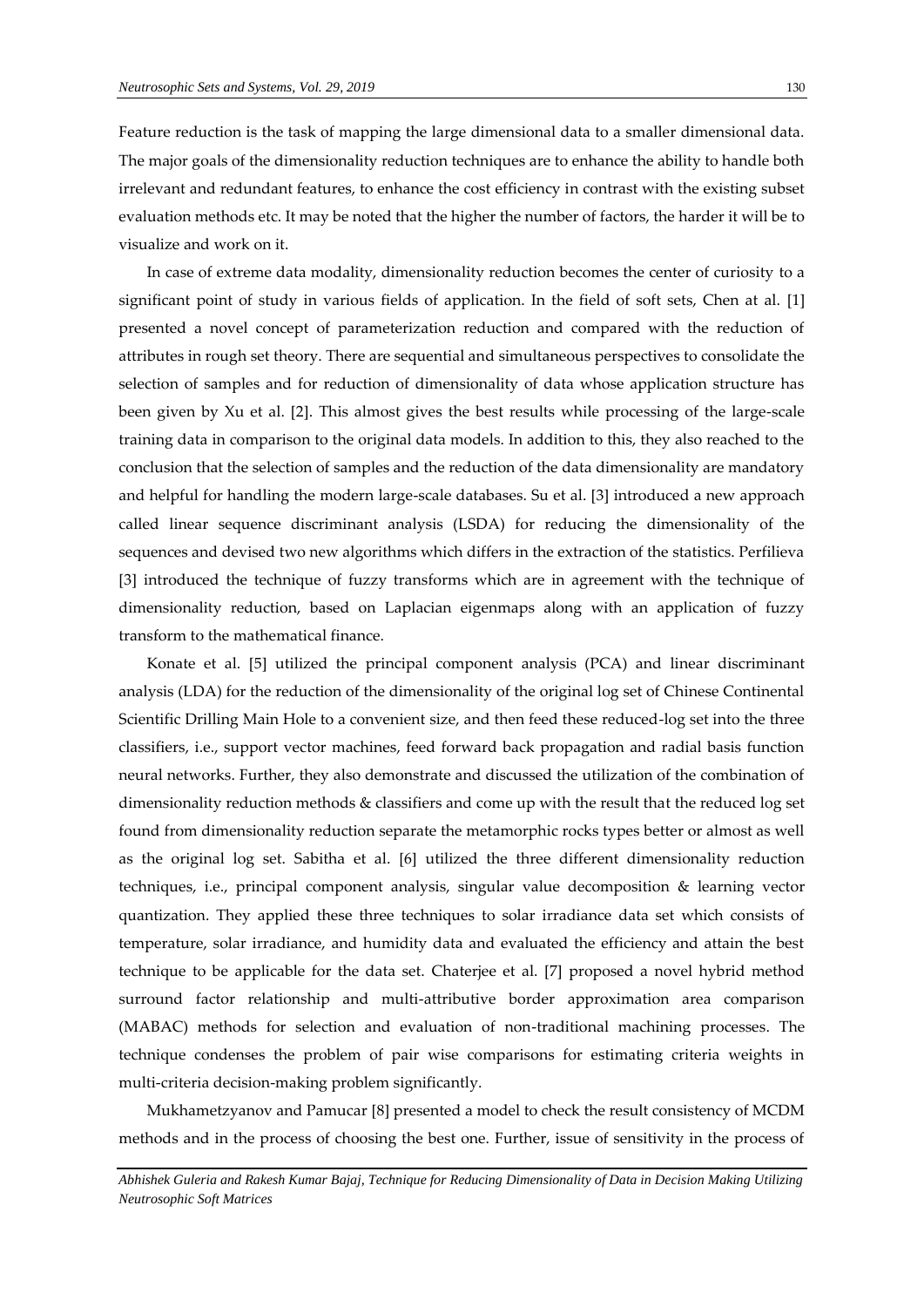Feature reduction is the task of mapping the large dimensional data to a smaller dimensional data. The major goals of the dimensionality reduction techniques are to enhance the ability to handle both irrelevant and redundant features, to enhance the cost efficiency in contrast with the existing subset evaluation methods etc. It may be noted that the higher the number of factors, the harder it will be to visualize and work on it.

In case of extreme data modality, dimensionality reduction becomes the center of curiosity to a significant point of study in various fields of application. In the field of soft sets, Chen at al. [1] presented a novel concept of parameterization reduction and compared with the reduction of attributes in rough set theory. There are sequential and simultaneous perspectives to consolidate the selection of samples and for reduction of dimensionality of data whose application structure has been given by Xu et al. [2]. This almost gives the best results while processing of the large-scale training data in comparison to the original data models. In addition to this, they also reached to the conclusion that the selection of samples and the reduction of the data dimensionality are mandatory and helpful for handling the modern large-scale databases. Su et al. [3] introduced a new approach called linear sequence discriminant analysis (LSDA) for reducing the dimensionality of the sequences and devised two new algorithms which differs in the extraction of the statistics. Perfilieva [3] introduced the technique of fuzzy transforms which are in agreement with the technique of dimensionality reduction, based on Laplacian eigenmaps along with an application of fuzzy transform to the mathematical finance.

Konate et al. [5] utilized the principal component analysis (PCA) and linear discriminant analysis (LDA) for the reduction of the dimensionality of the original log set of Chinese Continental Scientific Drilling Main Hole to a convenient size, and then feed these reduced-log set into the three classifiers, i.e., support vector machines, feed forward back propagation and radial basis function neural networks. Further, they also demonstrate and discussed the utilization of the combination of dimensionality reduction methods & classifiers and come up with the result that the reduced log set found from dimensionality reduction separate the metamorphic rocks types better or almost as well as the original log set. Sabitha et al. [6] utilized the three different dimensionality reduction techniques, i.e., principal component analysis, singular value decomposition & learning vector quantization. They applied these three techniques to solar irradiance data set which consists of temperature, solar irradiance, and humidity data and evaluated the efficiency and attain the best technique to be applicable for the data set. Chaterjee et al. [7] proposed a novel hybrid method surround factor relationship and multi-attributive border approximation area comparison (MABAC) methods for selection and evaluation of non-traditional machining processes. The technique condenses the problem of pair wise comparisons for estimating criteria weights in multi-criteria decision-making problem significantly.

Mukhametzyanov and Pamucar [8] presented a model to check the result consistency of MCDM methods and in the process of choosing the best one. Further, issue of sensitivity in the process of

*Abhishek Guleria and Rakesh Kumar Bajaj, Technique for Reducing Dimensionality of Data in Decision Making Utilizing Neutrosophic Soft Matrices*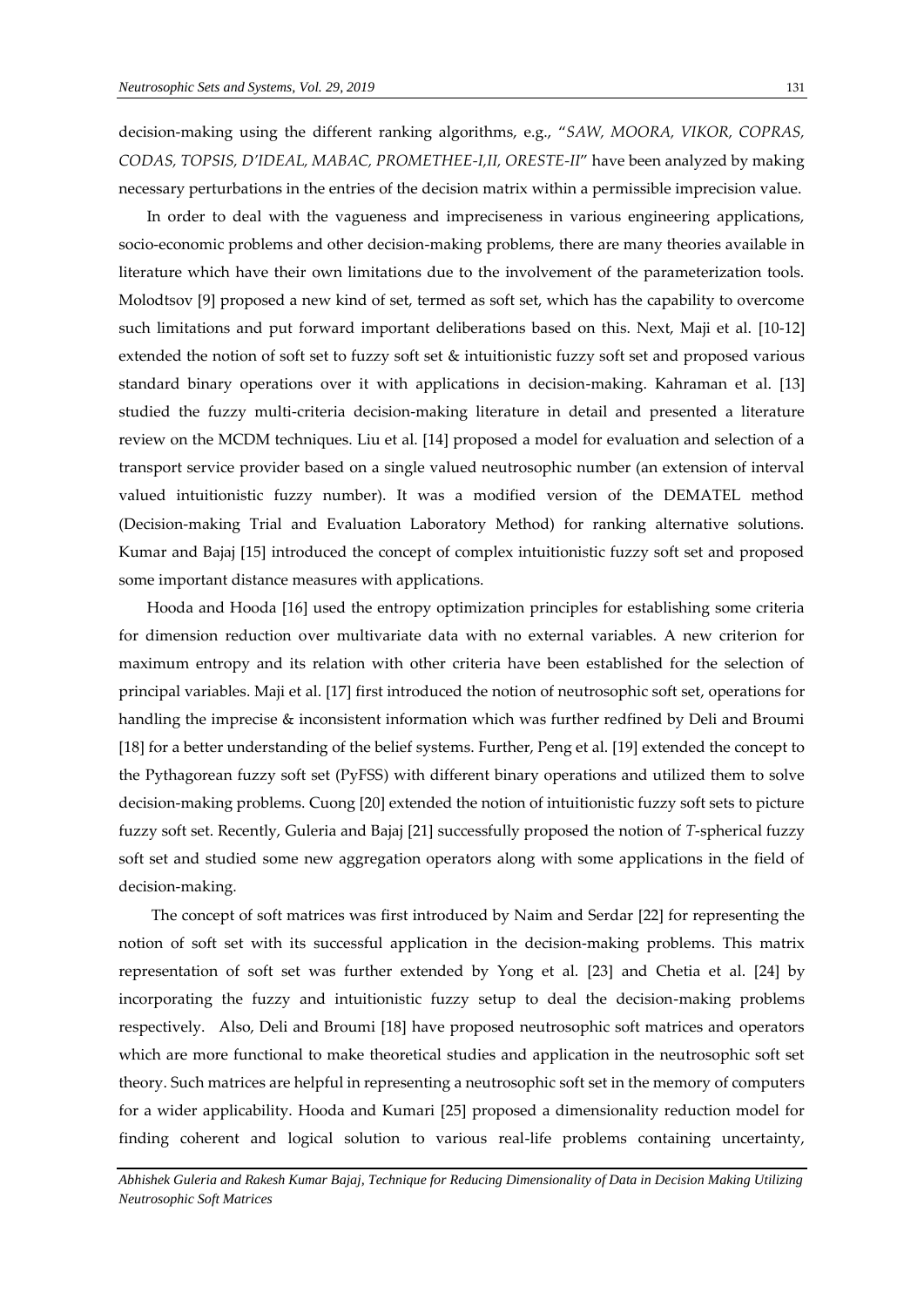decision-making using the different ranking algorithms, e.g., "*SAW, MOORA, VIKOR, COPRAS, CODAS, TOPSIS, D'IDEAL, MABAC, PROMETHEE-I,II, ORESTE-II*" have been analyzed by making necessary perturbations in the entries of the decision matrix within a permissible imprecision value.

In order to deal with the vagueness and impreciseness in various engineering applications, socio-economic problems and other decision-making problems, there are many theories available in literature which have their own limitations due to the involvement of the parameterization tools. Molodtsov [9] proposed a new kind of set, termed as soft set, which has the capability to overcome such limitations and put forward important deliberations based on this. Next, Maji et al. [10-12] extended the notion of soft set to fuzzy soft set & intuitionistic fuzzy soft set and proposed various standard binary operations over it with applications in decision-making. Kahraman et al. [13] studied the fuzzy multi-criteria decision-making literature in detail and presented a literature review on the MCDM techniques. Liu et al. [14] proposed a model for evaluation and selection of a transport service provider based on a single valued neutrosophic number (an extension of interval valued intuitionistic fuzzy number). It was a modified version of the DEMATEL method (Decision-making Trial and Evaluation Laboratory Method) for ranking alternative solutions. Kumar and Bajaj [15] introduced the concept of complex intuitionistic fuzzy soft set and proposed some important distance measures with applications.

Hooda and Hooda [16] used the entropy optimization principles for establishing some criteria for dimension reduction over multivariate data with no external variables. A new criterion for maximum entropy and its relation with other criteria have been established for the selection of principal variables. Maji et al. [17] first introduced the notion of neutrosophic soft set, operations for handling the imprecise & inconsistent information which was further redfined by Deli and Broumi [18] for a better understanding of the belief systems. Further, Peng et al. [19] extended the concept to the Pythagorean fuzzy soft set (PyFSS) with different binary operations and utilized them to solve decision-making problems. Cuong [20] extended the notion of intuitionistic fuzzy soft sets to picture fuzzy soft set. Recently, Guleria and Bajaj [21] successfully proposed the notion of *T*-spherical fuzzy soft set and studied some new aggregation operators along with some applications in the field of decision-making.

The concept of soft matrices was first introduced by Naim and Serdar [22] for representing the notion of soft set with its successful application in the decision-making problems. This matrix representation of soft set was further extended by Yong et al. [23] and Chetia et al. [24] by incorporating the fuzzy and intuitionistic fuzzy setup to deal the decision-making problems respectively. Also, Deli and Broumi [18] have proposed neutrosophic soft matrices and operators which are more functional to make theoretical studies and application in the neutrosophic soft set theory. Such matrices are helpful in representing a neutrosophic soft set in the memory of computers for a wider applicability. Hooda and Kumari [25] proposed a dimensionality reduction model for finding coherent and logical solution to various real-life problems containing uncertainty,

*Abhishek Guleria and Rakesh Kumar Bajaj, Technique for Reducing Dimensionality of Data in Decision Making Utilizing Neutrosophic Soft Matrices*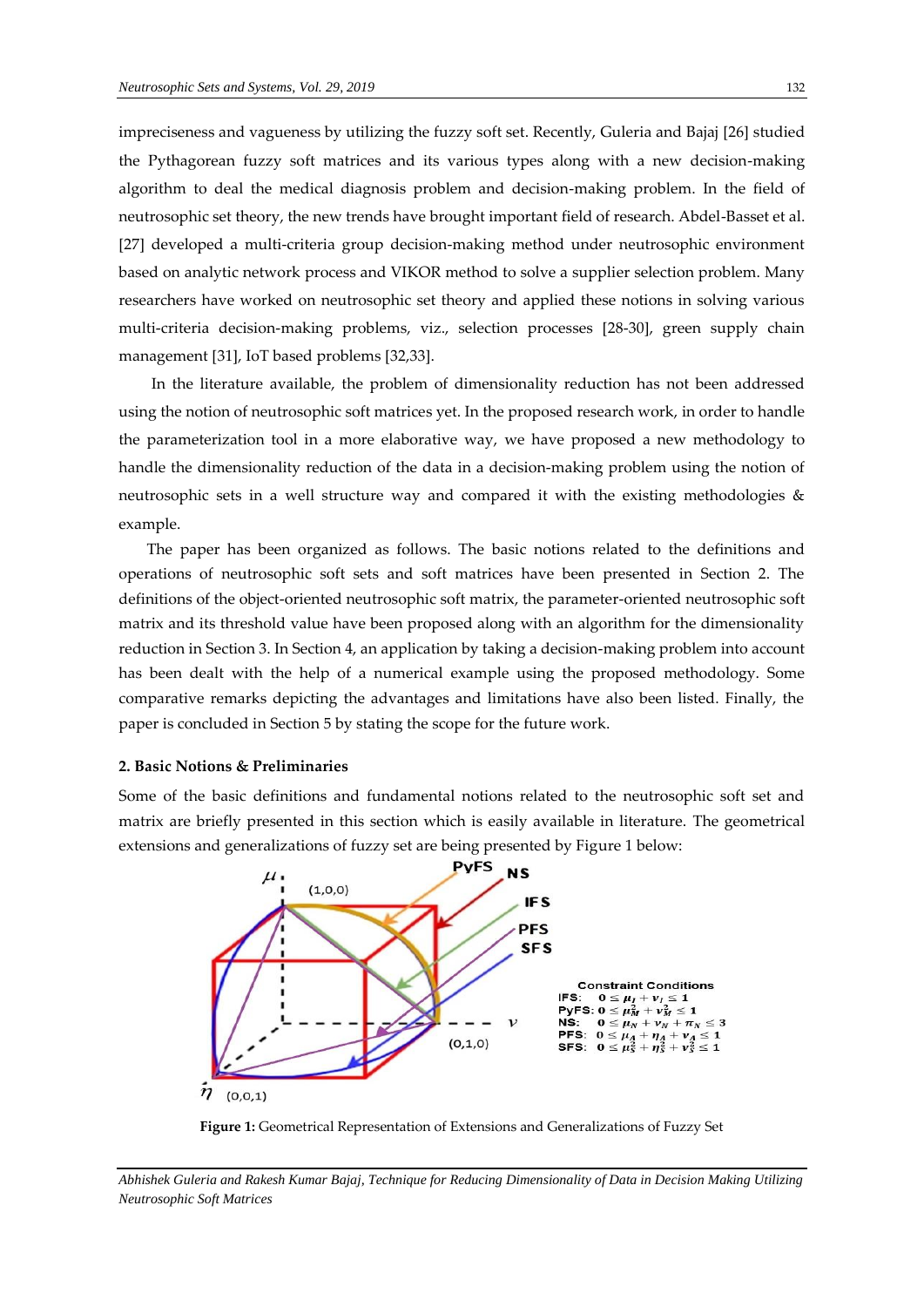impreciseness and vagueness by utilizing the fuzzy soft set. Recently, Guleria and Bajaj [26] studied the Pythagorean fuzzy soft matrices and its various types along with a new decision-making algorithm to deal the medical diagnosis problem and decision-making problem. In the field of neutrosophic set theory, the new trends have brought important field of research. Abdel-Basset et al. [27] developed a multi-criteria group decision-making method under neutrosophic environment based on analytic network process and VIKOR method to solve a supplier selection problem. Many researchers have worked on neutrosophic set theory and applied these notions in solving various multi-criteria decision-making problems, viz., selection processes [28-30], green supply chain management [31], IoT based problems [32,33].

In the literature available, the problem of dimensionality reduction has not been addressed using the notion of neutrosophic soft matrices yet. In the proposed research work, in order to handle the parameterization tool in a more elaborative way, we have proposed a new methodology to handle the dimensionality reduction of the data in a decision-making problem using the notion of neutrosophic sets in a well structure way and compared it with the existing methodologies & example.

The paper has been organized as follows. The basic notions related to the definitions and operations of neutrosophic soft sets and soft matrices have been presented in Section 2. The definitions of the object-oriented neutrosophic soft matrix, the parameter-oriented neutrosophic soft matrix and its threshold value have been proposed along with an algorithm for the dimensionality reduction in Section 3. In Section 4, an application by taking a decision-making problem into account has been dealt with the help of a numerical example using the proposed methodology. Some comparative remarks depicting the advantages and limitations have also been listed. Finally, the paper is concluded in Section 5 by stating the scope for the future work.

### **2. Basic Notions & Preliminaries**

*Neutrosophic Soft Matrices*

Some of the basic definitions and fundamental notions related to the neutrosophic soft set and matrix are briefly presented in this section which is easily available in literature. The geometrical extensions and generalizations of fuzzy set are being presented by Figure 1 below:



**Figure 1:** Geometrical Representation of Extensions and Generalizations of Fuzzy Set

*Abhishek Guleria and Rakesh Kumar Bajaj, Technique for Reducing Dimensionality of Data in Decision Making Utilizing*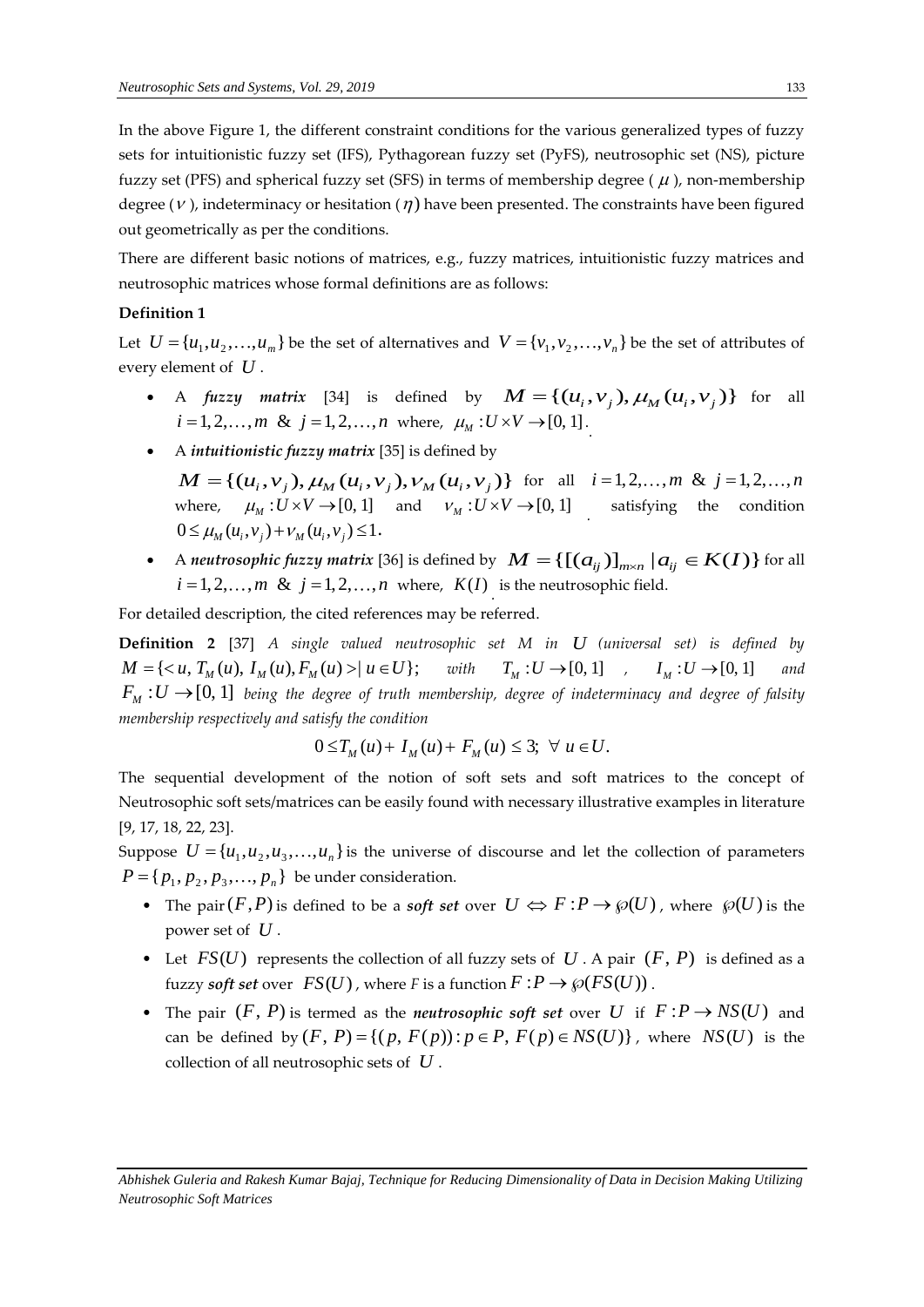In the above Figure 1, the different constraint conditions for the various generalized types of fuzzy sets for intuitionistic fuzzy set (IFS), Pythagorean fuzzy set (PyFS), neutrosophic set (NS), picture fuzzy set (PFS) and spherical fuzzy set (SFS) in terms of membership degree ( $\mu$ ), non-membership degree ( $\nu$ ), indeterminacy or hesitation ( $\eta$ ) have been presented. The constraints have been figured out geometrically as per the conditions.

There are different basic notions of matrices, e.g., fuzzy matrices, intuitionistic fuzzy matrices and neutrosophic matrices whose formal definitions are as follows:

# **Definition 1**

Let  $U = \{u_1, u_2, \ldots, u_m\}$  be the set of alternatives and  $V = \{v_1, v_2, \ldots, v_n\}$  be the set of attributes of every element of *U* .

- A *fuzzy matrix* [34] is defined by  $M = \{ (u_i, v_j), \mu_M(u_i, v_j) \}$  for all  $i = 1, 2, ..., m$  &  $j = 1, 2, ..., n$  where,  $\mu_M : U \times V \rightarrow [0, 1]$ .
- A *intuitionistic fuzzy matrix* [35] is defined by
- *M* = {( $u_i$ ,  $v_j$ ),  $\mu_M$  ( $u_i$ ,  $v_j$ ),  $v_M$  ( $u_i$ ,  $v_j$ )} for all  $i = 1, 2, ..., m$  &  $j = 1, 2, ..., n$ where,  $\mu_M : U \times V \to [0, 1]$  and  $\nu_M : U \times V \to [0, 1]$  satisfying the condition  $0 \leq \mu_{M}(u_{i}, v_{i}) + \nu_{M}(u_{i}, v_{i}) \leq 1.$
- $0 \le \mu_M(u_i, v_j) + \nu_M(u_i, v_j) \le 1.$ <br>
 A *neutrosophic fuzzy matrix* [36] is defined by  $M = \{[(a_{ij})]_{m \times n} | a_{ij} \in K(I)\}$  for all *i* = 1, 2,..., *m* & *j* = 1, 2,..., *n* where,  $K(I)$  is the neutrosophic field.

For detailed description, the cited references may be referred.

**Definition 2** [37] *A single valued neutrosophic set M in U (universal set) is defined by*  **Definition 2** [37] A single valued neutrosophic set M in U (universal set) is defity  $M = \{ \langle u, T_M(u), I_M(u), F_M(u) \rangle | u \in U \}$ ; with  $T_M : U \rightarrow [0, 1]$  ,  $I_M : U \rightarrow [0, 1]$ *and*   $F_{_M}$   $:$   $U$   $\rightarrow$   $[0, 1]$  *being the degree of truth membership, degree of indeterminacy and degree of falsity* membership respectively and satisfy the condition<br>  $0 \le T_M(u) + I_M(u) + F_M(u) \le 3; \ \ \forall \ u \in U.$ 

$$
0 \leq T_M(u) + I_M(u) + F_M(u) \leq 3; \ \forall u \in U.
$$

The sequential development of the notion of soft sets and soft matrices to the concept of Neutrosophic soft sets/matrices can be easily found with necessary illustrative examples in literature [9, 17, 18, 22, 23].

Suppose  $U = {u_1, u_2, u_3, ..., u_n}$  is the universe of discourse and let the collection of parameters  ${P} = \{ p_1, p_2, p_3, \dots, p_n \}$  be under consideration.

- The pair  $(F, P)$  is defined to be a *soft set* over  $U \Leftrightarrow F : P \to \wp(U)$ , where  $\wp(U)$  is the power set of *U* .
- Let  $FS(U)$  represents the collection of all fuzzy sets of  $U$ . A pair  $(F, P)$  is defined as a fuzzy *soft set* over  $FS(U)$ , where *F* is a function  $F : P \to \wp(FS(U))$ .
- The pair  $(F, P)$  is termed as the *neutrosophic soft set* over U if  $F: P \to NS(U)$  and The pair  $(F, P)$  is termed as the *neutrosophic soft set* over U if  $F : P \to NS(U)$  and can be defined by  $(F, P) = \{(p, F(p)) : p \in P, F(p) \in NS(U)\}$ , where  $NS(U)$  is the collection of all neutrosophic sets of *U* .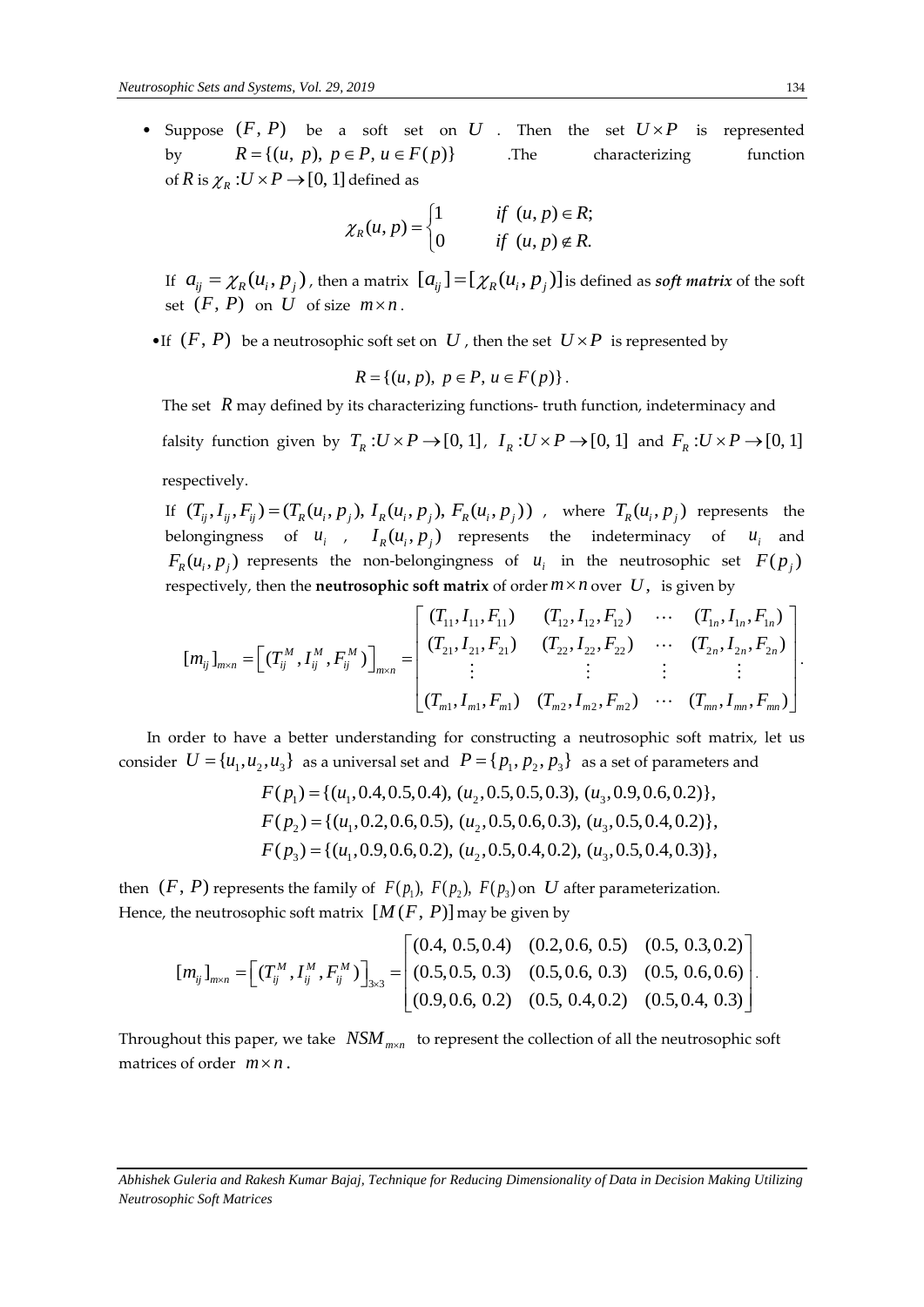• Suppose  $(F, P)$  be a soft set on  $U$ . Then the set  $U \times P$  is represented by  $R = \{(u, p), p \in P, u \in F(p)\}\$ .The characterizing function of R is  $\chi_R$  :  $U \times P \rightarrow [0, 1]$  defined as

$$
\chi_R(u, p) = \begin{cases} 1 & \text{if } (u, p) \in R; \\ 0 & \text{if } (u, p) \notin R. \end{cases}
$$

If  $a_{ij} = \chi_R(u_i, p_j)$  , then a matrix  $[a_{ij}] = [\chi_R(u_i, p_j)]$  is defined as *soft matrix* of the soft set  $(F, P)$  on  $U$  of size  $m \times n$ .

•If  $(F, P)$  be a neutrosophic soft set on  $U$ , then the set  $U \times P$  is represented by

$$
R = \{(u, p), p \in P, u \in F(p)\}.
$$

The set R may defined by its characterizing functions- truth function, indeterminacy and

falsity function given by  $T_R: U \times P \to [0, 1]$ ,  $I_R: U \times P \to [0, 1]$  and  $F_R: U \times P \to [0, 1]$ respectively. respectively.<br>If  $(T_{ij}, I_{ij}, F_{ij}) = (T_R(u_i, p_j), I_R(u_i, p_j), F_R(u_i, p_j))$ , where  $T_R(u_i, p_j)$  represents the

belongingness of  $u_i$ ,  $I_R(u_i, p_j)$  represents the indeterminacy of  $u_i$  and  $F_R(u_i, p_j)$  represents the non-belongingness of  $u_i$  in the neutrosophic set  $F(p_j)$ ongingness of  $u_i$  in the neutrosophic set  $F(p_j)$ <br>soft matrix of order  $m \times n$  over U, is given by<br> $\begin{bmatrix} (T_{11}, I_{11}, F_{11}) & (T_{12}, I_{12}, F_{12}) & \cdots & (T_{1n}, I_{1n}, F_{1n}) \ (T_{11}, T_{11}, F_{11}) & (T_{12}, T_{12}, F_{12}) & \cdots & (T_{1n}, T_{1n}, F_{1n}) \end{bmatrix}$ 

$$
F_R(u_i, p_j)
$$
 represents the non-belongingness of  $u_i$  in the neutrosophic set  $F(p_j)$   
respectively, then the **neutrosophic soft matrix** of order  $m \times n$  over  $U$ , is given by  

$$
[m_{ij}]_{m \times n} = \begin{bmatrix} (T_{ij}^M, I_{ij}^M, F_{ij}^M) \end{bmatrix}_{m \times n} = \begin{bmatrix} (T_{11}, I_{11}, F_{11}) & (T_{12}, I_{12}, F_{12}) & \cdots & (T_{1n}, I_{1n}, F_{1n}) \\ (T_{21}, I_{21}, F_{21}) & (T_{22}, I_{22}, F_{22}) & \cdots & (T_{2n}, I_{2n}, F_{2n}) \\ \vdots & \vdots & \vdots & \vdots \\ (T_{m1}, I_{m1}, F_{m1}) & (T_{m2}, I_{m2}, F_{m2}) & \cdots & (T_{mn}, I_{mn}, F_{mn}) \end{bmatrix}.
$$

In order to have a better understanding for constructing a neutrosophic soft matrix, let us In order to have a better understanding for constructing a neutrosophic soft matrix,<br>consider  $U = {u_1, u_2, u_3}$  as a universal set and  $P = {p_1, p_2, p_3}$  as a set of parameters and<br> $F(p_1) = {(u_1, 0.4, 0.5, 0.4), (u_2, 0.5, 0.5$ 

$$
F(p_1) = \{(u_1, 0.4, 0.5, 0.4), (u_2, 0.5, 0.5, 0.3), (u_3, 0.9, 0.6, 0.2)\},\
$$
  

$$
F(p_2) = \{(u_1, 0.2, 0.6, 0.5), (u_2, 0.5, 0.6, 0.3), (u_3, 0.5, 0.4, 0.2)\},\
$$
  

$$
F(p_3) = \{(u_1, 0.9, 0.6, 0.2), (u_2, 0.5, 0.4, 0.2), (u_3, 0.5, 0.4, 0.3)\},\
$$

then  $(F, P)$  represents the family of  $F(p_1)$ ,  $F(p_2)$ ,  $F(p_3)$  on  $U$  after parameterization.<br>
Hence, the neutrosophic soft matrix  $[M(F, P)]$  may be given by<br>  $\begin{bmatrix} (0.4, 0.5, 0.4) & (0.2, 0.6, 0.5) & (0.5, 0.3, 0.2) \\ (0.5, 0.5,$ 

Hence, the neutrosophic soft matrix 
$$
[M(F, P)]
$$
 may be given by  
\n
$$
[m_{ij}]_{m \times n} = \left[ (T_{ij}^{M}, I_{ij}^{M}, F_{ij}^{M}) \right]_{3 \times 3} = \left[ (0.5, 0.5, 0.4) \quad (0.2, 0.6, 0.5) \quad (0.5, 0.3, 0.2) \right]
$$
\n
$$
[m_{ij}]_{m \times n} = \left[ (T_{ij}^{M}, I_{ij}^{M}, F_{ij}^{M}) \right]_{3 \times 3} = \left[ (0.5, 0.5, 0.3) \quad (0.5, 0.6, 0.3) \quad (0.5, 0.6, 0.6) \right].
$$
\n(0.9, 0.6, 0.2) (0.5, 0.4, 0.2) (0.5, 0.4, 0.3)

Throughout this paper, we take  $\left| {\rm \textit{NSM}}_{_{\rm \textit{max}}}\right|$  to represent the collection of all the neutrosophic soft matrices of order  $m \times n$ .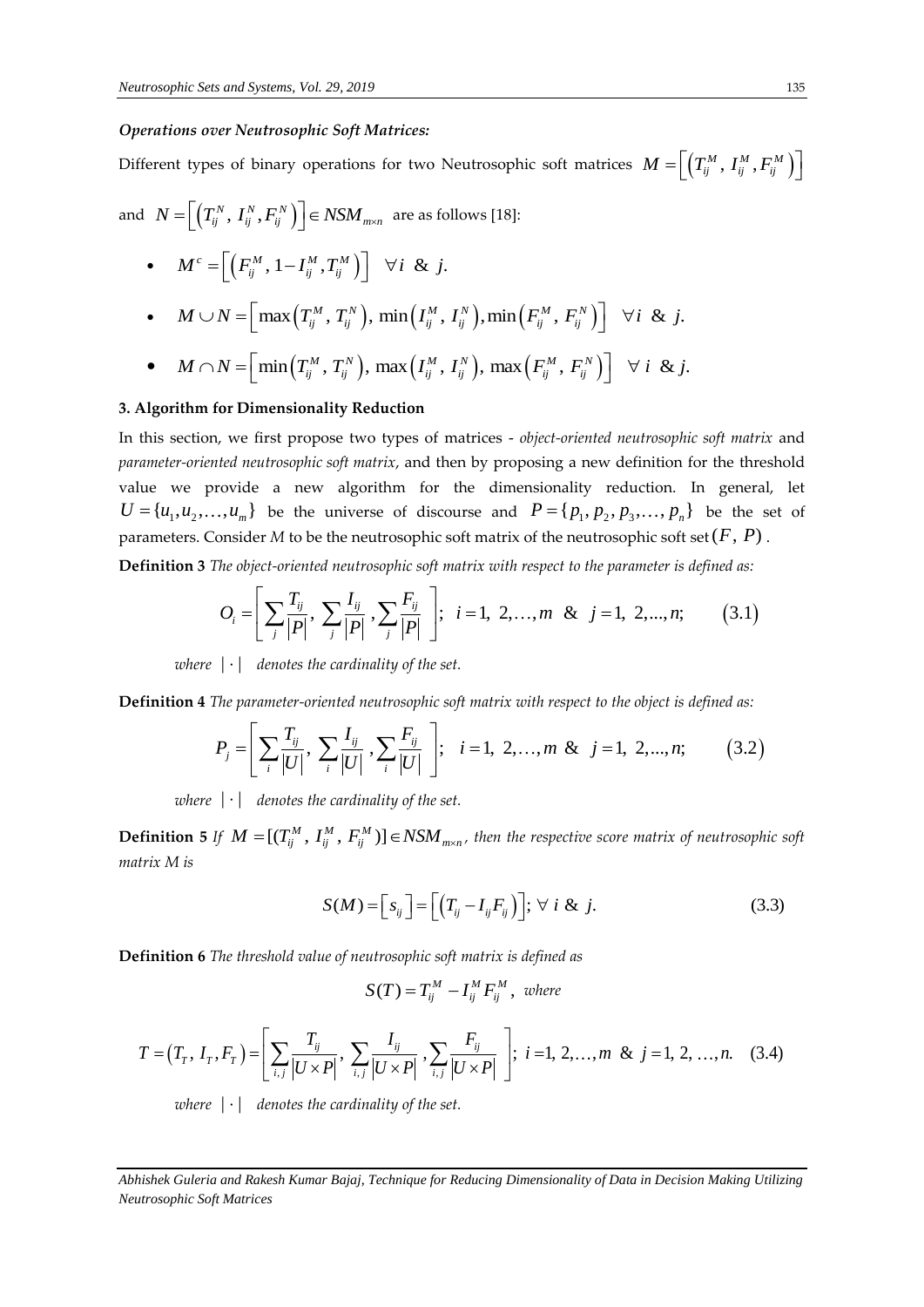#### *Operations over Neutrosophic Soft Matrices:*

Different types of binary operations for two Neutrosophic soft matrices  $M = \left[\left(T_{ij}^M\,,\,I_{ij}^M\,,F_{ij}^M\,\right)\right]$ 

and  $N = \left[ \left( T_{ij}^N, I_{ij}^N, F_{ij}^N \right) \right] \in NSM_{m \times n}$ are as follows [18]:

- $M^c = \left[ \left( F_{ij}^M , 1 I_{ij}^M , T_{ij}^M \right) \right] \quad \forall i \& j.$
- $M^{c} = \left[ \left( F_{ij}^{M}, 1 I_{ij}^{M}, T_{ij}^{M} \right) \right] \quad \forall i \& j.$ <br>
  $M \cup N = \left[ \max \left( T_{ij}^{M}, T_{ij}^{N} \right), \min \left( I_{ij}^{M}, I_{ij}^{N} \right), \min \left( F_{ij}^{M}, F_{ij}^{N} \right) \right] \quad \forall i \& j.$ •  $M \cup N = \left[ \max\left( T_{ij}^M, T_{ij}^N\right), \min\left( I_{ij}^M, I_{ij}^N\right), \min\left( F_{ij}^M, F_{ij}^N\right) \right] \ \forall i \ \& \ j.$ <br>•  $M \cap N = \left[ \min\left( T_{ij}^M, T_{ij}^N\right), \max\left( I_{ij}^M, I_{ij}^N\right), \max\left( F_{ij}^M, F_{ij}^N\right) \right] \ \forall i \ \& \ j.$

• 
$$
M \cap N = \left[\min\left(T_{ij}^M, T_{ij}^N\right), \max\left(I_{ij}^M, I_{ij}^N\right), \max\left(F_{ij}^M, F_{ij}^N\right)\right] \quad \forall \ i \ \& \ j
$$

#### **3. Algorithm for Dimensionality Reduction**

In this section, we first propose two types of matrices - *object-oriented neutrosophic soft matrix* and *parameter-oriented neutrosophic soft matrix*, and then by proposing a new definition for the threshold value we provide a new algorithm for the dimensionality reduction. In general, let  $U = \{u_1, u_2, ..., u_m\}$  be the universe of discourse and  $P = \{p_1, p_2, p_3, ..., p_n\}$  be the set of

**Definition 3** *The object-oriented neutrosophic soft matrix with respect to the parameter is defined as:* 

$$
U = \{u_1, u_2, ..., u_m\}
$$
 be the universe of discourse and  $P = \{p_1, p_2, p_3, ..., p_n\}$  be the se  
parameters. Consider *M* to be the neutrosophic soft matrix of the neutrosophic soft set  $(F, P)$ .  
**Definition 3** *The object-oriented neutrosophic soft matrix with respect to the parameter is defined as:*  

$$
O_i = \left[\sum_j \frac{T_{ij}}{|P|}, \sum_j \frac{I_{ij}}{|P|}, \sum_j \frac{F_{ij}}{|P|}\right], i = 1, 2, ..., m \& j = 1, 2, ..., n; \quad (3.1)
$$

 $where  $| \cdot |$  denotes the cardinality of the set.$ 

**Definition 4** *The parameter-oriented neutrosophic soft matrix with respect to the object is defined as:* 

$$
P_j = \left[ \sum_i \frac{T_{ij}}{|U|}, \sum_i \frac{I_{ij}}{|U|}, \sum_i \frac{F_{ij}}{|U|} \right], \quad i = 1, 2, ..., m \& j = 1, 2, ..., n; \tag{3.2}
$$

where  $|\cdot|$  denotes the cardinality of the set.

**Definition 5** If  $M = [(T_{ij}^M, I_{ij}^M, F_{ij}^M)] \in NSM_{m \times n}$ , then the respective score matrix of neutrosophic soft<br>matrix M is<br> $S(M) = [s_{ij}] = [(T_{ij} - I_{ij}F_{ij})]$ ;  $\forall i \& j.$  (3.3) *matrix M is* 

$$
S(M) = \left[s_{ij}\right] = \left[\left(T_{ij} - I_{ij}F_{ij}\right)\right]; \forall i \& j. \tag{3.3}
$$

**Definition 6** *The threshold value of neutrosophic soft matrix is defined as*

$$
S(T) = T_{ij}^M - I_{ij}^M F_{ij}^M
$$
, where

**efinition 6** The threshold value of neutrosophic soft matrix is defined as  
\n
$$
S(T) = T_{ij}^{M} - I_{ij}^{M} F_{ij}^{M}, \text{ where}
$$
\n
$$
T = (T_{T}, I_{T}, F_{T}) = \left[ \sum_{i,j} \frac{T_{ij}}{|U \times P|}, \sum_{i,j} \frac{I_{ij}}{|U \times P|}, \sum_{i,j} \frac{F_{ij}}{|U \times P|} \right]; \quad i = 1, 2, ..., m \& j = 1, 2, ..., n. \quad (3.4)
$$

where  $|\cdot|$  denotes the cardinality of the set.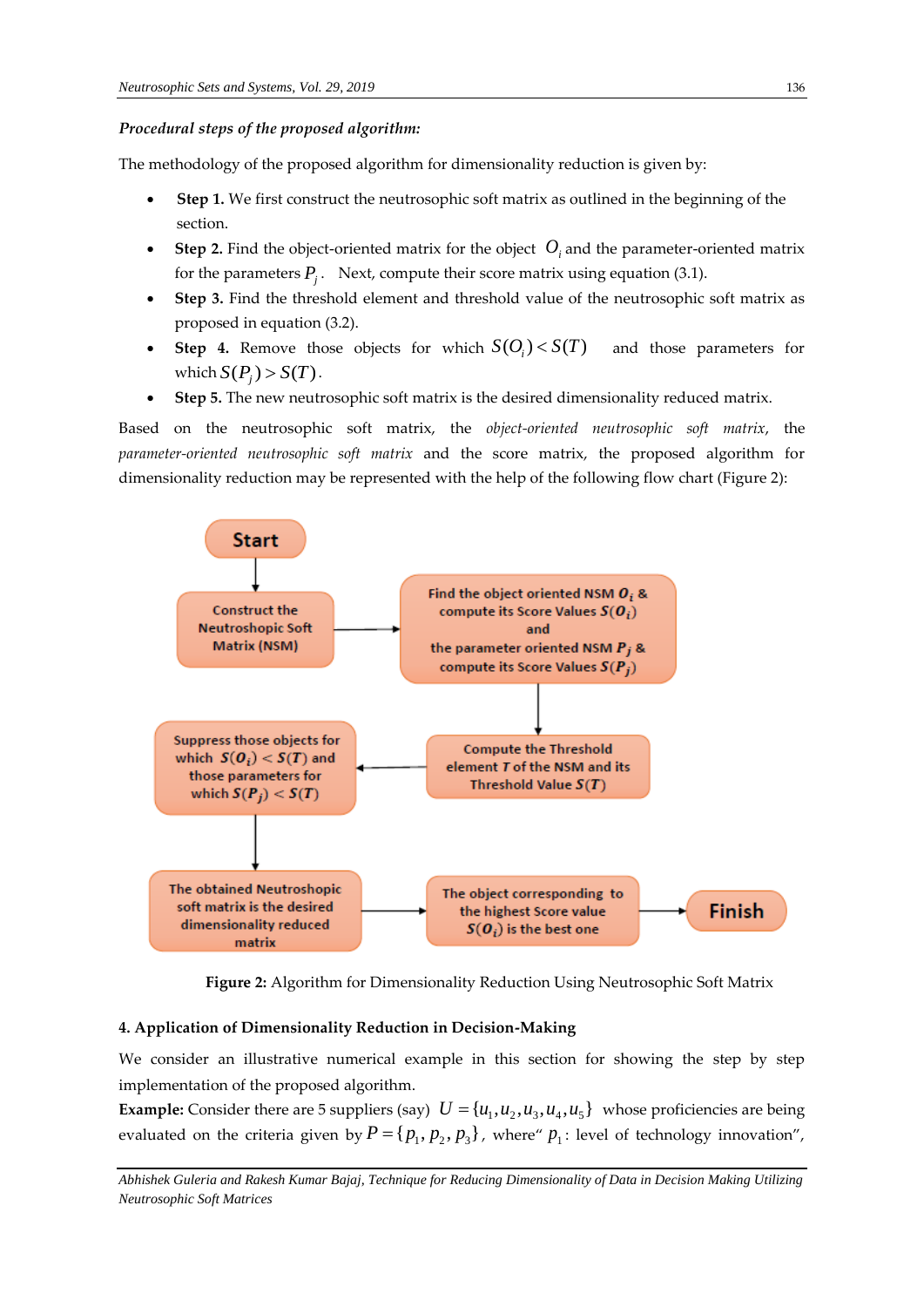#### *Procedural steps of the proposed algorithm:*

The methodology of the proposed algorithm for dimensionality reduction is given by:

- **Step 1.** We first construct the neutrosophic soft matrix as outlined in the beginning of the section.
- Step 2. Find the object-oriented matrix for the object  $O_i$  and the parameter-oriented matrix for the parameters  $P_j$ . Next, compute their score matrix using equation (3.1).
- **Step 3.** Find the threshold element and threshold value of the neutrosophic soft matrix as proposed in equation (3.2).
- Step 4. Remove those objects for which  $S(O_i) < S(T)$ and those parameters for which  $S(P_j) > S(T)$ .
- **Step 5.** The new neutrosophic soft matrix is the desired dimensionality reduced matrix.

Based on the neutrosophic soft matrix, the *object-oriented neutrosophic soft matrix*, the *parameter-oriented neutrosophic soft matrix* and the score matrix, the proposed algorithm for dimensionality reduction may be represented with the help of the following flow chart (Figure 2):



**Figure 2:** Algorithm for Dimensionality Reduction Using Neutrosophic Soft Matrix

# **4. Application of Dimensionality Reduction in Decision-Making**

We consider an illustrative numerical example in this section for showing the step by step implementation of the proposed algorithm.

**Example:** Consider there are 5 suppliers (say)  $U = {u_1, u_2, u_3, u_4, u_5}$  whose proficiencies are being evaluated on the criteria given by  $P = \{p_1, p_2, p_3\}$ , where  $p_1$ : level of technology innovation",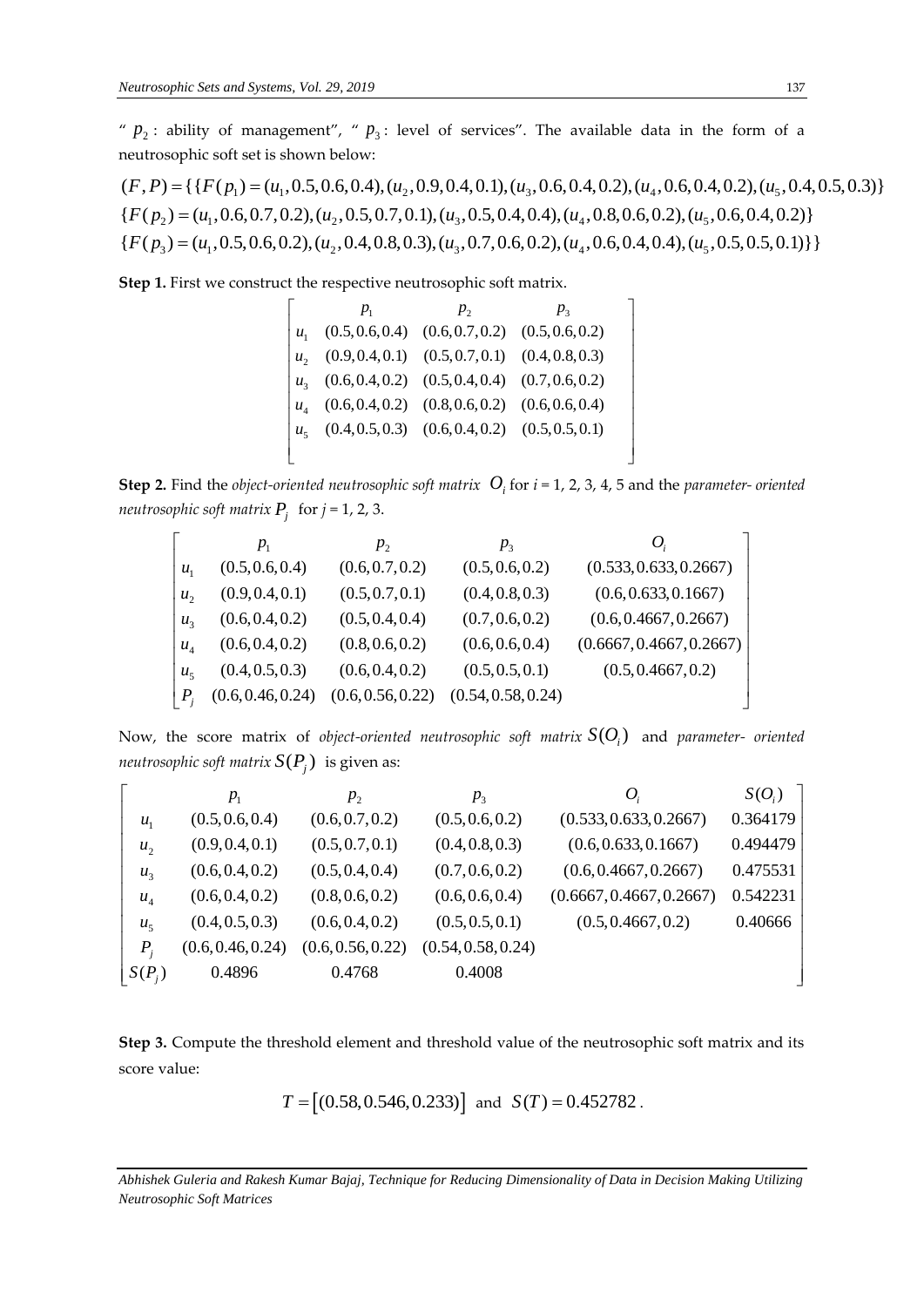"  $p_2$ : ability of management", "  $p_3$ : level of services". The available data in the form of a neutrosophic soft set is shown below: Veutrosophic Sets and Systems, Vol. 29, 2019<br>
" $p_2$ : ability of management", " $p_3$ : level of services". The available data in the form of a<br>
neutrosophic soft set is shown below:<br>  $(F, P) = \{ \{ F(p_1) = (u_1, 0.5, 0.6, 0.4), (u_$ 

 $(F, P) = \{ \{F(p_1) = (u_1, 0.5, 0.6, 0.4), (u_2, 0.9, 0.4, 0.1), (u_3, 0.6, 0.4, 0.2), (u_4, 0.6, 0.4, 0.2), (u_5, 0.4, 0.5, 0.3) \}$ "  $p_2$ : ability of management", "  $p_3$ : level of services". The available data in the form of a<br>neutrosophic soft set is shown below:<br> $(F, P) = \{ \{ F(p_1) = (u_1, 0.5, 0.6, 0.4), (u_2, 0.9, 0.4, 0.1), (u_3, 0.6, 0.4, 0.2), (u_4, 0.6$  $\{F(p_3) = (u_1, 0.5, 0.6, 0.2), (u_2, 0.4, 0.8, 0.3), (u_3, 0.7, 0.6, 0.2), (u_4, 0.6, 0.4, 0.4), (u_5, 0.5, 0.5, 0.1)\}\}$ meutrosoph<br>  $(F, P) = \{ \}$ <br>  $\{ F(p_2) = (\}$ <br>  $\{ F(p_3) = (\}$ *P*<sub>2</sub>: ability of management", " *P*<sub>3</sub>: level of services". The available data in eutrosophic soft set is shown below:<br> *F*, *P*) = {{ $F(p_1) = (u_1, 0.5, 0.6, 0.4), (u_2, 0.9, 0.4, 0.1), (u_3, 0.6, 0.4, 0.2), (u_4, 0.6, 0.4, 0.$ *eutrosophic*<br> *F*, *P*) = { { *I*<br> *F*( $p_2$ ) = (*u*<br> *F*( $p_3$ ) = (*u* = phic soft set is shown below:<br>
= {{ $F(p_1) = (u_1, 0.5, 0.6, 0.4), (u_2, 0.9, 0.4, 0.1), (u_3, 0.6, 0.4, 0.2), (u_4, 0.6, 0.4, 0.2), (u_5, 0.4, 0.4)$ <br>
= ( $u_1$ , 0.6, 0.7, 0.2), ( $u_2$ , 0.5, 0.7, 0.1), ( $u_3$ , 0.5, 0.4, 0.4), ( $u_4$ ,

**Step 1.** First we construct the respective neutrosophic soft matrix.<br>  $\begin{bmatrix} p_1 & p_2 & p_3 \end{bmatrix}$ 

|                            | t the respective neutrosophic soft matrix.            |                                                       |         |  |
|----------------------------|-------------------------------------------------------|-------------------------------------------------------|---------|--|
|                            | $p_{1}$                                               | $p_{2}$                                               | $p_{3}$ |  |
| $u_{1}$                    |                                                       | $(0.5, 0.6, 0.4)$ $(0.6, 0.7, 0.2)$ $(0.5, 0.6, 0.2)$ |         |  |
| $u_{\gamma}$               |                                                       | $(0.9, 0.4, 0.1)$ $(0.5, 0.7, 0.1)$ $(0.4, 0.8, 0.3)$ |         |  |
| $u_{2}$                    | $(0.6, 0.4, 0.2)$ $(0.5, 0.4, 0.4)$ $(0.7, 0.6, 0.2)$ |                                                       |         |  |
| $u_{\scriptscriptstyle A}$ |                                                       | $(0.6, 0.4, 0.2)$ $(0.8, 0.6, 0.2)$ $(0.6, 0.6, 0.4)$ |         |  |
| $u_{\rm s}$                | $(0.4, 0.5, 0.3)$ $(0.6, 0.4, 0.2)$ $(0.5, 0.5, 0.1)$ |                                                       |         |  |
|                            |                                                       |                                                       |         |  |
|                            |                                                       |                                                       |         |  |

**Step 2.** Find the *object-oriented neutrosophic soft matrix*  $O_i$  for  $i = 1, 2, 3, 4, 5$  and the *parameter- oriented neutrosophic soft matrix*  $P_j$  for  $j = 1, 2, 3$ .<br>  $\begin{bmatrix} p_1 & p_2 & p_3 & O_i \\ p_1 & p_2 & p_3 & O_i \\ p_1 & p_2 & p_3$ 

|                 | $p_{1}$           | $p_{2}$           | $p_{3}$            | $\bm{O}_i$               |
|-----------------|-------------------|-------------------|--------------------|--------------------------|
| $u_{1}$         | (0.5, 0.6, 0.4)   | (0.6, 0.7, 0.2)   | (0.5, 0.6, 0.2)    | (0.533, 0.633, 0.2667)   |
| $u_{2}$         | (0.9, 0.4, 0.1)   | (0.5, 0.7, 0.1)   | (0.4, 0.8, 0.3)    | (0.6, 0.633, 0.1667)     |
| $u_{3}$         | (0.6, 0.4, 0.2)   | (0.5, 0.4, 0.4)   | (0.7, 0.6, 0.2)    | (0.6, 0.4667, 0.2667)    |
| $u_{\rm A}$     | (0.6, 0.4, 0.2)   | (0.8, 0.6, 0.2)   | (0.6, 0.6, 0.4)    | (0.6667, 0.4667, 0.2667) |
| $u_{\varsigma}$ | (0.4, 0.5, 0.3)   | (0.6, 0.4, 0.2)   | (0.5, 0.5, 0.1)    | (0.5, 0.4667, 0.2)       |
| $P_{i}$         | (0.6, 0.46, 0.24) | (0.6, 0.56, 0.22) | (0.54, 0.58, 0.24) |                          |

Now, the score matrix of *object-oriented neutrosophic soft matrix*  $S(O_i)$  and *parameter- oriented* orier<br>(O<sub>i</sub>)<br>641 Now, the score matrix of *object-oriented neutrosophic soft matrix*  $S(O_i)$  and *parameter- oriented*<br>*ineutrosophic soft matrix*  $S(P_j)$  is given as:<br> $\begin{bmatrix} p_1 & p_2 & p_3 & O_i & S(O_i) \\ u & (0.5.0.6.0.4) & (0.6.0.7.0.2) & (0.5.0.6.0.2)$ 

|                |                                                       |                   |                    | Now, the score matrix of <i>object-oriented neutrosophic soft matrix</i> $S(O_i)$ and <i>parameter-</i> oriented |          |  |  |  |  |  |  |
|----------------|-------------------------------------------------------|-------------------|--------------------|------------------------------------------------------------------------------------------------------------------|----------|--|--|--|--|--|--|
|                | <i>neutrosophic soft matrix</i> $S(P_i)$ is given as: |                   |                    |                                                                                                                  |          |  |  |  |  |  |  |
|                | $p_{1}$                                               | $p_{2}$           | $p_{3}$            | $O_i$                                                                                                            | $S(O_i)$ |  |  |  |  |  |  |
| $u_{1}$        | (0.5, 0.6, 0.4)                                       | (0.6, 0.7, 0.2)   | (0.5, 0.6, 0.2)    | (0.533, 0.633, 0.2667)                                                                                           | 0.364179 |  |  |  |  |  |  |
| u <sub>2</sub> | (0.9, 0.4, 0.1)                                       | (0.5, 0.7, 0.1)   | (0.4, 0.8, 0.3)    | (0.6, 0.633, 0.1667)                                                                                             | 0.494479 |  |  |  |  |  |  |
| $u_3$          | (0.6, 0.4, 0.2)                                       | (0.5, 0.4, 0.4)   | (0.7, 0.6, 0.2)    | (0.6, 0.4667, 0.2667)                                                                                            | 0.475531 |  |  |  |  |  |  |
| $u_4$          | (0.6, 0.4, 0.2)                                       | (0.8, 0.6, 0.2)   | (0.6, 0.6, 0.4)    | (0.6667, 0.4667, 0.2667)                                                                                         | 0.542231 |  |  |  |  |  |  |
| u <sub>5</sub> | (0.4, 0.5, 0.3)                                       | (0.6, 0.4, 0.2)   | (0.5, 0.5, 0.1)    | (0.5, 0.4667, 0.2)                                                                                               | 0.40666  |  |  |  |  |  |  |
| $P_i$          | (0.6, 0.46, 0.24)                                     | (0.6, 0.56, 0.22) | (0.54, 0.58, 0.24) |                                                                                                                  |          |  |  |  |  |  |  |
| $S(P_i)$       | 0.4896                                                | 0.4768            | 0.4008             |                                                                                                                  |          |  |  |  |  |  |  |
|                |                                                       |                   |                    |                                                                                                                  |          |  |  |  |  |  |  |

**Step 3.** Compute the threshold element and threshold value of the neutrosophic soft matrix and its score value:

 $T = [(0.58, 0.546, 0.233)]$  and  $S(T) = 0.452782$ .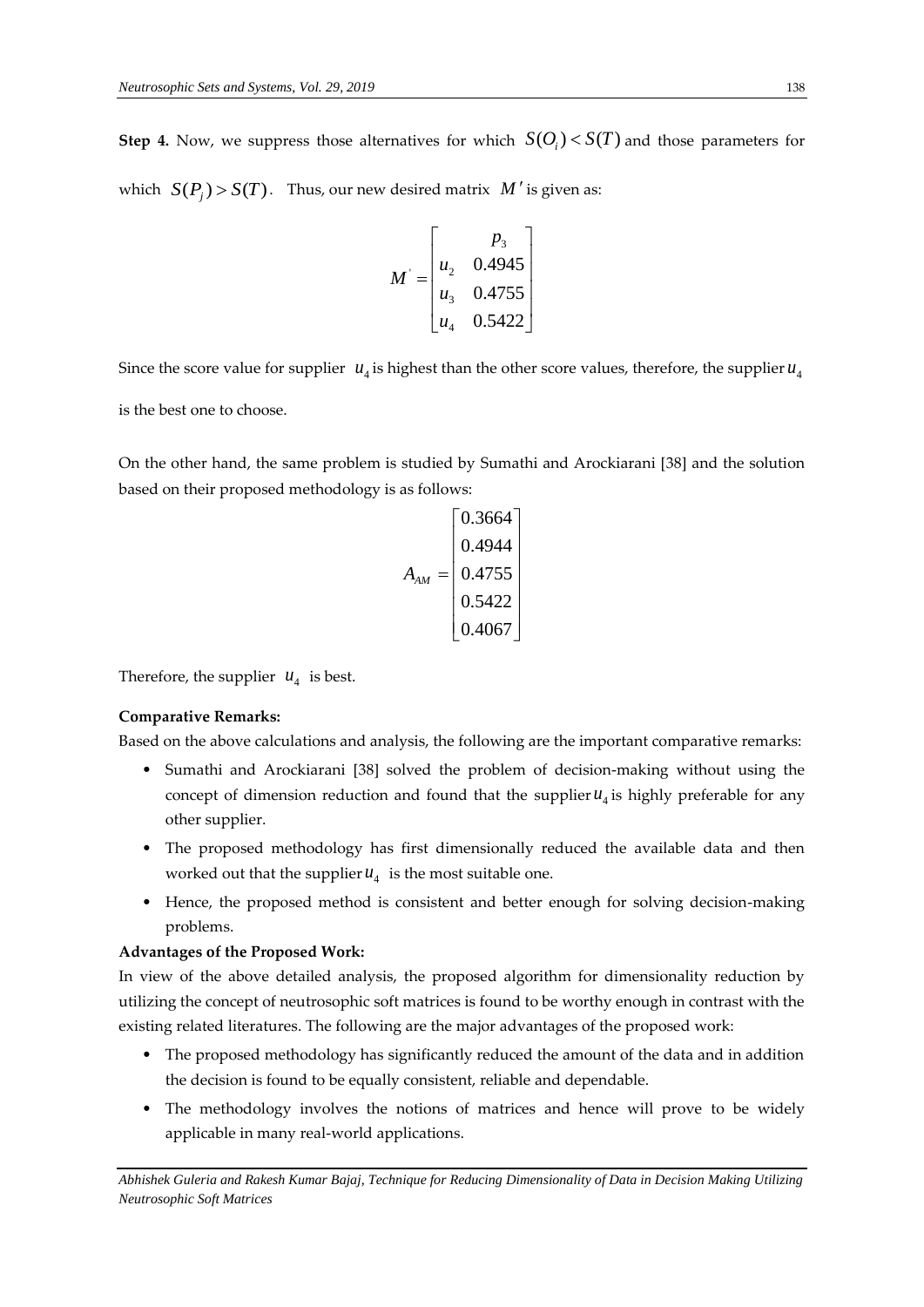**Step 4.** Now, we suppress those alternatives for which  $S(O_i) < S(T)$  and those parameters for which  $S(P_j) > S(T)$ . Thus, our new desired matrix  $M'$  is given as:

$$
M = \begin{bmatrix} p_3 \\ u_2 & 0.4945 \\ u_3 & 0.4755 \\ u_4 & 0.5422 \end{bmatrix}
$$

Since the score value for supplier  $u_4$  is highest than the other score values, therefore, the supplier  $u_4$ is the best one to choose.

On the other hand, the same problem is studied by Sumathi and Arockiarani [38] and the solution based on their proposed methodology is as follows:

$$
A_{AM} = \begin{bmatrix} 0.3664 \\ 0.4944 \\ 0.4755 \\ 0.5422 \\ 0.4067 \end{bmatrix}
$$

Therefore, the supplier  $u_4$  is best.

## **Comparative Remarks:**

Based on the above calculations and analysis, the following are the important comparative remarks:

- Sumathi and Arockiarani [38] solved the problem of decision-making without using the concept of dimension reduction and found that the supplier  $u_4$  is highly preferable for any other supplier.
- The proposed methodology has first dimensionally reduced the available data and then worked out that the supplier  $u_4$  is the most suitable one.
- Hence, the proposed method is consistent and better enough for solving decision-making problems.

#### **Advantages of the Proposed Work:**

In view of the above detailed analysis, the proposed algorithm for dimensionality reduction by utilizing the concept of neutrosophic soft matrices is found to be worthy enough in contrast with the existing related literatures. The following are the major advantages of the proposed work:

- The proposed methodology has significantly reduced the amount of the data and in addition the decision is found to be equally consistent, reliable and dependable.
- The methodology involves the notions of matrices and hence will prove to be widely applicable in many real-world applications.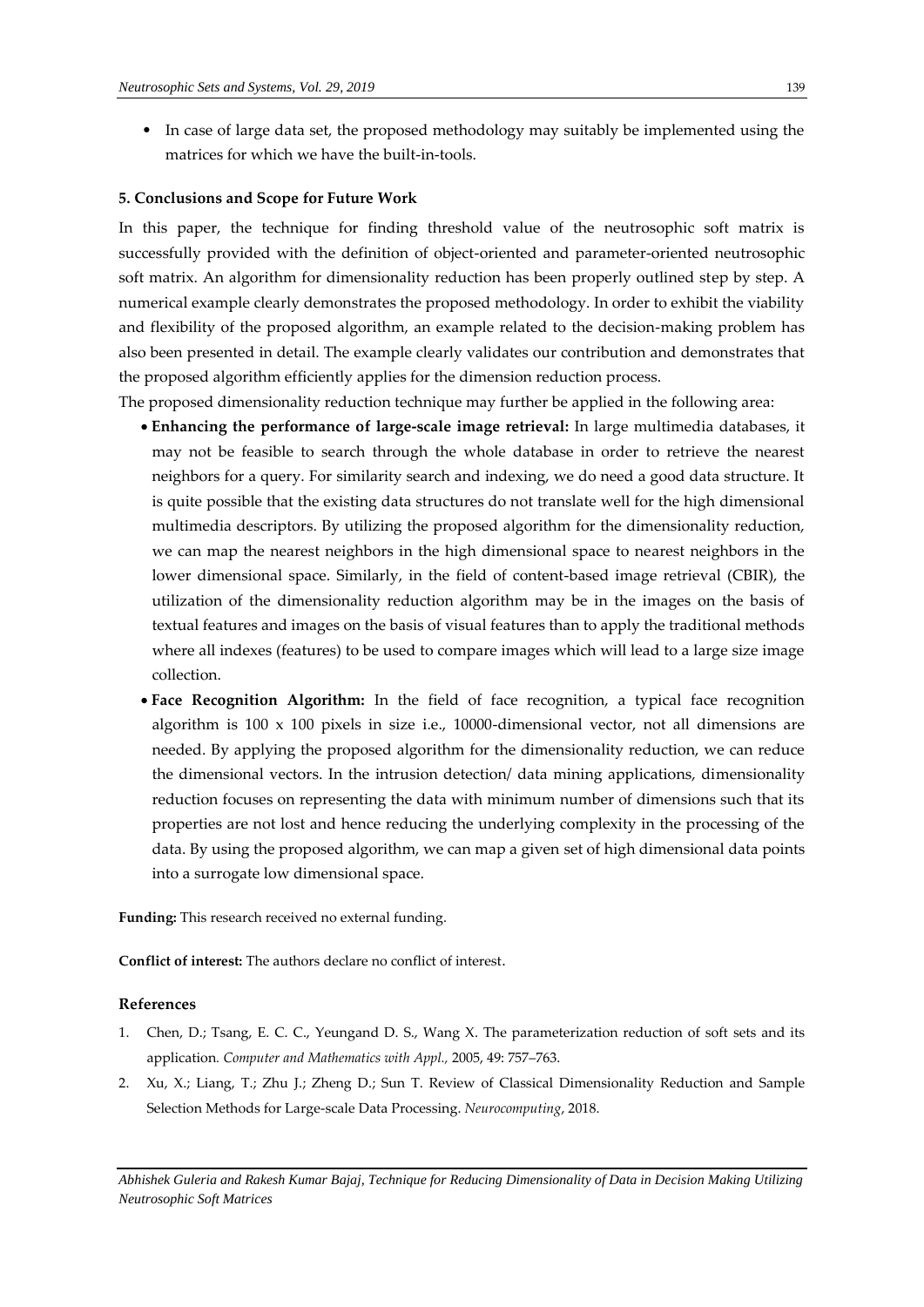• In case of large data set, the proposed methodology may suitably be implemented using the matrices for which we have the built-in-tools.

## **5. Conclusions and Scope for Future Work**

In this paper, the technique for finding threshold value of the neutrosophic soft matrix is successfully provided with the definition of object-oriented and parameter-oriented neutrosophic soft matrix. An algorithm for dimensionality reduction has been properly outlined step by step. A numerical example clearly demonstrates the proposed methodology. In order to exhibit the viability and flexibility of the proposed algorithm, an example related to the decision-making problem has also been presented in detail. The example clearly validates our contribution and demonstrates that the proposed algorithm efficiently applies for the dimension reduction process.

The proposed dimensionality reduction technique may further be applied in the following area:

- **Enhancing the performance of large-scale image retrieval:** In large multimedia databases, it may not be feasible to search through the whole database in order to retrieve the nearest neighbors for a query. For similarity search and indexing, we do need a good data structure. It is quite possible that the existing data structures do not translate well for the high dimensional multimedia descriptors. By utilizing the proposed algorithm for the dimensionality reduction, we can map the nearest neighbors in the high dimensional space to nearest neighbors in the lower dimensional space. Similarly, in the field of content-based image retrieval (CBIR), the utilization of the dimensionality reduction algorithm may be in the images on the basis of textual features and images on the basis of visual features than to apply the traditional methods where all indexes (features) to be used to compare images which will lead to a large size image collection.
- **Face Recognition Algorithm:** In the field of face recognition, a typical face recognition algorithm is  $100 \times 100$  pixels in size i.e.,  $10000$ -dimensional vector, not all dimensions are needed. By applying the proposed algorithm for the dimensionality reduction, we can reduce the dimensional vectors. In the intrusion detection/ data mining applications, dimensionality reduction focuses on representing the data with minimum number of dimensions such that its properties are not lost and hence reducing the underlying complexity in the processing of the data. By using the proposed algorithm, we can map a given set of high dimensional data points into a surrogate low dimensional space.

**Funding:** This research received no external funding.

**Conflict of interest:** The authors declare no conflict of interest.

#### **References**

- 1. Chen, D.; Tsang, E. C. C., Yeungand D. S., Wang X. The parameterization reduction of soft sets and its application*. Computer and Mathematics with Appl.,* 2005, 49: 757–763.
- 2. Xu, X.; Liang, T.; Zhu J.; Zheng D.; Sun T. Review of Classical Dimensionality Reduction and Sample Selection Methods for Large-scale Data Processing. *Neurocomputing*, 2018.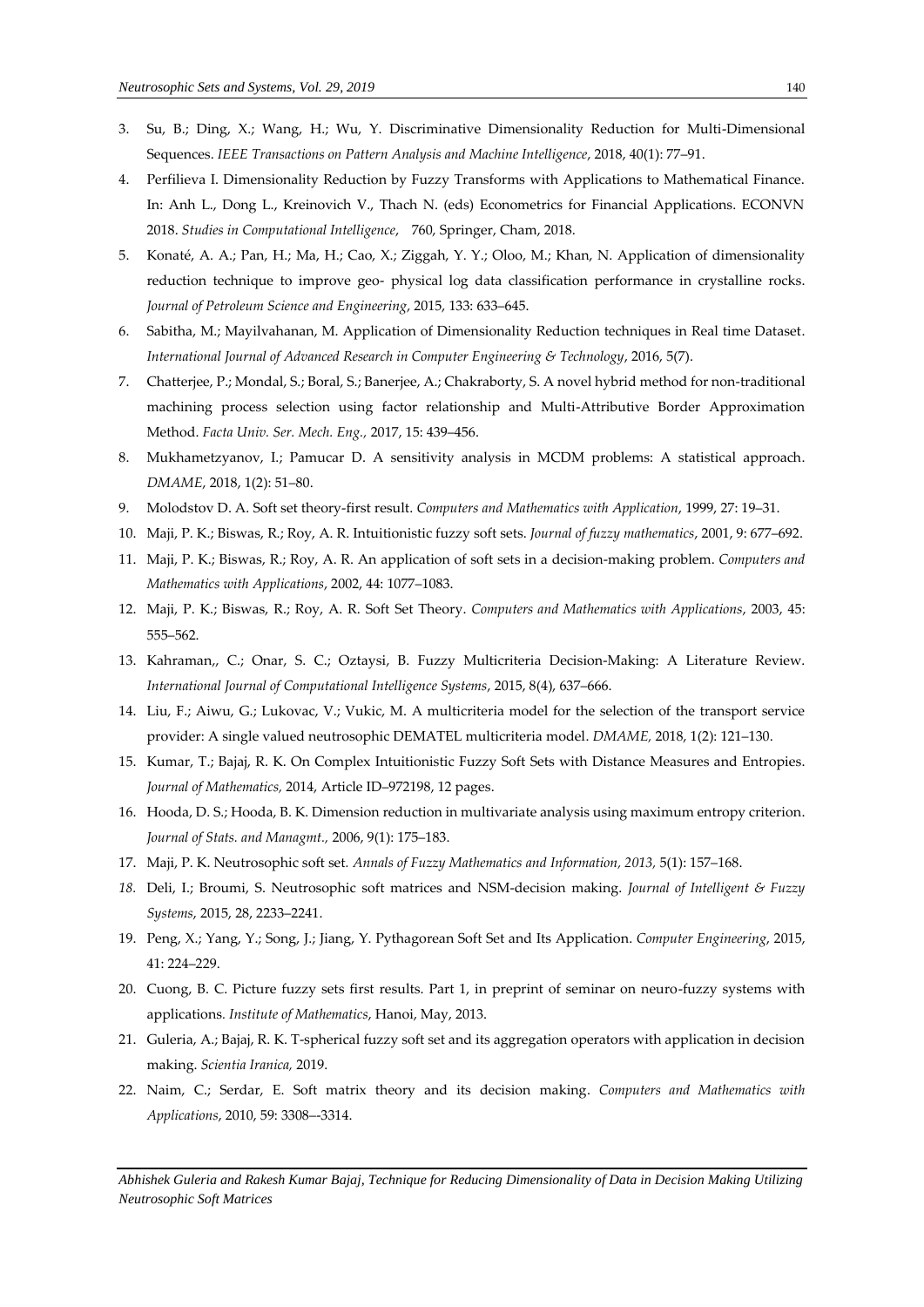- 3. Su, B.; Ding, X.; Wang, H.; Wu, Y. Discriminative Dimensionality Reduction for Multi-Dimensional Sequences. *IEEE Transactions on Pattern Analysis and Machine Intelligence*, 2018, 40(1): 77–91.
- 4. Perfilieva I. Dimensionality Reduction by Fuzzy Transforms with Applications to Mathematical Finance. In: Anh L., Dong L., Kreinovich V., Thach N. (eds) Econometrics for Financial Applications. ECONVN 2018. *Studies in Computational Intelligence*, 760, Springer, Cham, 2018.
- 5. Konaté, A. A.; Pan, H.; Ma, H.; Cao, X.; Ziggah, Y. Y.; Oloo, M.; Khan, N. Application of dimensionality reduction technique to improve geo- physical log data classification performance in crystalline rocks. *Journal of Petroleum Science and Engineering*, 2015, 133: 633–645.
- 6. Sabitha, M.; Mayilvahanan, M. Application of Dimensionality Reduction techniques in Real time Dataset. *International Journal of Advanced Research in Computer Engineering & Technology*, 2016, 5(7).
- 7. Chatterjee, P.; Mondal, S.; Boral, S.; Banerjee, A.; Chakraborty, S. A novel hybrid method for non-traditional machining process selection using factor relationship and Multi-Attributive Border Approximation Method. *Facta Univ. Ser. Mech. Eng.,* 2017, 15: 439–456.
- 8. Mukhametzyanov, I.; Pamucar D. A sensitivity analysis in MCDM problems: A statistical approach. *DMAME*, 2018, 1(2): 51–80.
- 9. Molodstov D. A. Soft set theory-first result. *Computers and Mathematics with Application*, 1999, 27: 19–31.
- 10. Maji, P. K.; Biswas, R.; Roy, A. R. Intuitionistic fuzzy soft sets. *Journal of fuzzy mathematics*, 2001, 9: 677–692.
- 11. Maji, P. K.; Biswas, R.; Roy, A. R. An application of soft sets in a decision-making problem. *Computers and Mathematics with Applications*, 2002, 44: 1077–1083.
- 12. Maji, P. K.; Biswas, R.; Roy, A. R. Soft Set Theory. *Computers and Mathematics with Applications*, 2003, 45: 555–562.
- 13. Kahraman,, C.; Onar, S. C.; Oztaysi, B. Fuzzy Multicriteria Decision-Making: A Literature Review. *International Journal of Computational Intelligence Systems*, 2015, 8(4), 637–666.
- 14. Liu, F.; Aiwu, G.; Lukovac, V.; Vukic, M. A multicriteria model for the selection of the transport service provider: A single valued neutrosophic DEMATEL multicriteria model. *DMAME,* 2018, 1(2): 121–130.
- 15. Kumar, T.; Bajaj, R. K. On Complex Intuitionistic Fuzzy Soft Sets with Distance Measures and Entropies. *Journal of Mathematics,* 2014, Article ID–972198, 12 pages.
- 16. Hooda, D. S.; Hooda, B. K. Dimension reduction in multivariate analysis using maximum entropy criterion. *Journal of Stats. and Managmt.,* 2006, 9(1): 175–183.
- 17. Maji, P. K. Neutrosophic soft set*. Annals of Fuzzy Mathematics and Information, 2013,* 5(1): 157–168.
- *18.* Deli, I.; Broumi, S. Neutrosophic soft matrices and NSM-decision making. *Journal of Intelligent & Fuzzy Systems*, 2015, 28, 2233–2241.
- 19. Peng, X.; Yang, Y.; Song, J.; Jiang, Y. Pythagorean Soft Set and Its Application. *Computer Engineering*, 2015, 41: 224–229.
- 20. Cuong, B. C. Picture fuzzy sets first results. Part 1, in preprint of seminar on neuro-fuzzy systems with applications*. Institute of Mathematics*, Hanoi, May, 2013.
- 21. Guleria, A.; Bajaj, R. K. T-spherical fuzzy soft set and its aggregation operators with application in decision making. *Scientia Iranica,* 2019.
- 22. Naim, C.; Serdar, E. Soft matrix theory and its decision making. *Computers and Mathematics with Applications*, 2010, 59: 3308–-3314.